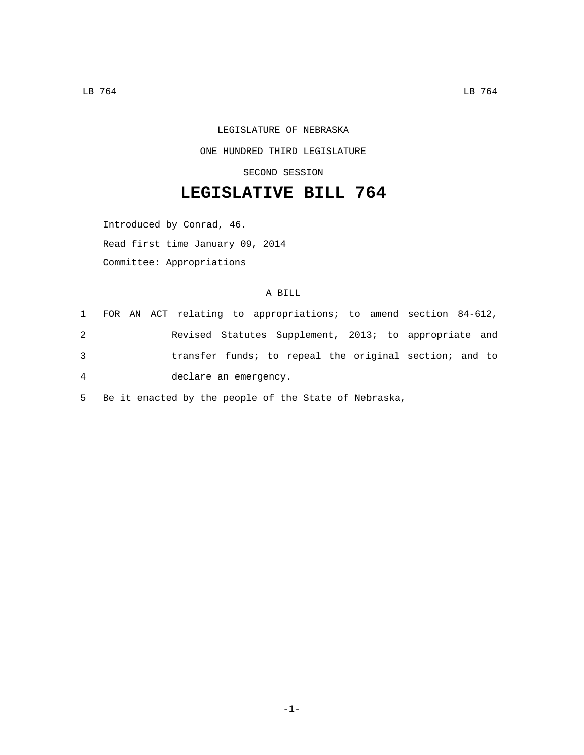## LEGISLATURE OF NEBRASKA

## ONE HUNDRED THIRD LEGISLATURE

SECOND SESSION

## **LEGISLATIVE BILL 764**

Introduced by Conrad, 46.

Read first time January 09, 2014

Committee: Appropriations

## A BILL

|   |  |                       |  |  |  | 1 FOR AN ACT relating to appropriations; to amend section 84-612, |  |
|---|--|-----------------------|--|--|--|-------------------------------------------------------------------|--|
| 2 |  |                       |  |  |  | Revised Statutes Supplement, 2013; to appropriate and             |  |
| 3 |  |                       |  |  |  | transfer funds; to repeal the original section; and to            |  |
| 4 |  | declare an emergency. |  |  |  |                                                                   |  |

5 Be it enacted by the people of the State of Nebraska,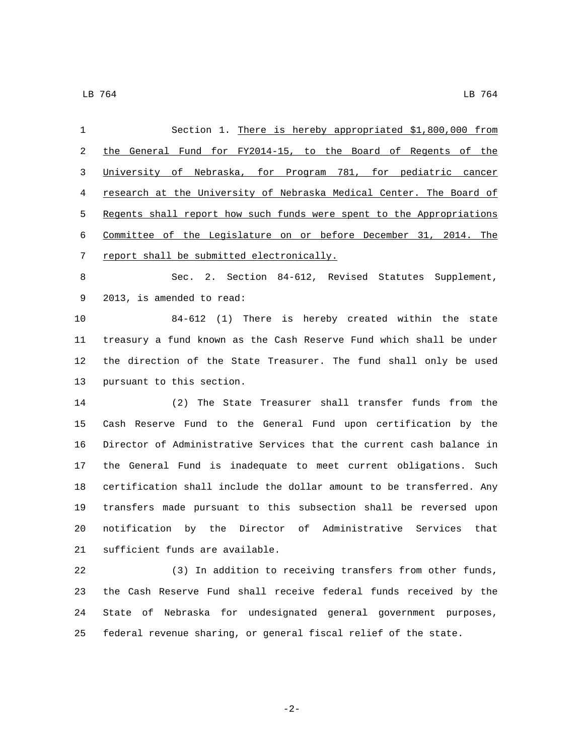| 1  | Section 1. There is hereby appropriated \$1,800,000 from             |
|----|----------------------------------------------------------------------|
| 2  | the General Fund for FY2014-15, to the Board of Regents of the       |
| 3  | University of Nebraska, for Program 781, for pediatric cancer        |
| 4  | research at the University of Nebraska Medical Center. The Board of  |
| 5  | Regents shall report how such funds were spent to the Appropriations |
| 6  | Committee of the Legislature on or before December 31, 2014. The     |
| 7  | report shall be submitted electronically.                            |
| 8  | Sec. 2. Section 84-612, Revised Statutes Supplement,                 |
| 9  | 2013, is amended to read:                                            |
| 10 | 84-612 (1) There is hereby created within the state                  |
| 11 | treasury a fund known as the Cash Reserve Fund which shall be under  |
| 12 | the direction of the State Treasurer. The fund shall only be used    |
| 13 | pursuant to this section.                                            |
| 14 | The State Treasurer shall transfer funds from the<br>(2)             |
| 15 | Cash Reserve Fund to the General Fund upon certification by the      |
| 16 | Director of Administrative Services that the current cash balance in |
| 17 | the General Fund is inadequate to meet current obligations. Such     |
| 18 | certification shall include the dollar amount to be transferred. Any |
| 19 | transfers made pursuant to this subsection shall be reversed upon    |
| 20 | notification by the Director of Administrative Services<br>that      |
| 21 | sufficient funds are available.                                      |
| 22 | (3) In addition to receiving transfers from other funds,             |
| 23 | the Cash Reserve Fund shall receive federal funds received by the    |
| 24 | State of Nebraska for undesignated general government purposes,      |

federal revenue sharing, or general fiscal relief of the state.

-2-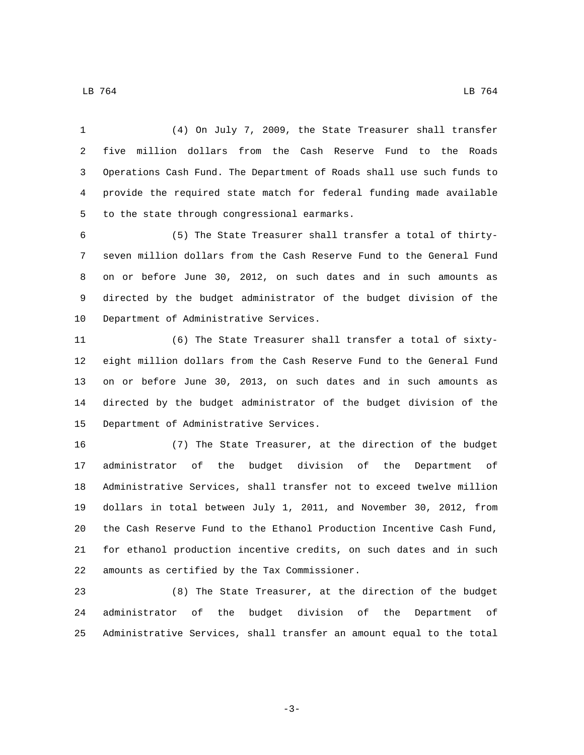(4) On July 7, 2009, the State Treasurer shall transfer five million dollars from the Cash Reserve Fund to the Roads Operations Cash Fund. The Department of Roads shall use such funds to provide the required state match for federal funding made available

5 to the state through congressional earmarks.

 (5) The State Treasurer shall transfer a total of thirty- seven million dollars from the Cash Reserve Fund to the General Fund on or before June 30, 2012, on such dates and in such amounts as directed by the budget administrator of the budget division of the 10 Department of Administrative Services.

 (6) The State Treasurer shall transfer a total of sixty- eight million dollars from the Cash Reserve Fund to the General Fund on or before June 30, 2013, on such dates and in such amounts as directed by the budget administrator of the budget division of the 15 Department of Administrative Services.

 (7) The State Treasurer, at the direction of the budget administrator of the budget division of the Department of Administrative Services, shall transfer not to exceed twelve million dollars in total between July 1, 2011, and November 30, 2012, from the Cash Reserve Fund to the Ethanol Production Incentive Cash Fund, for ethanol production incentive credits, on such dates and in such 22 amounts as certified by the Tax Commissioner.

 (8) The State Treasurer, at the direction of the budget administrator of the budget division of the Department of Administrative Services, shall transfer an amount equal to the total

-3-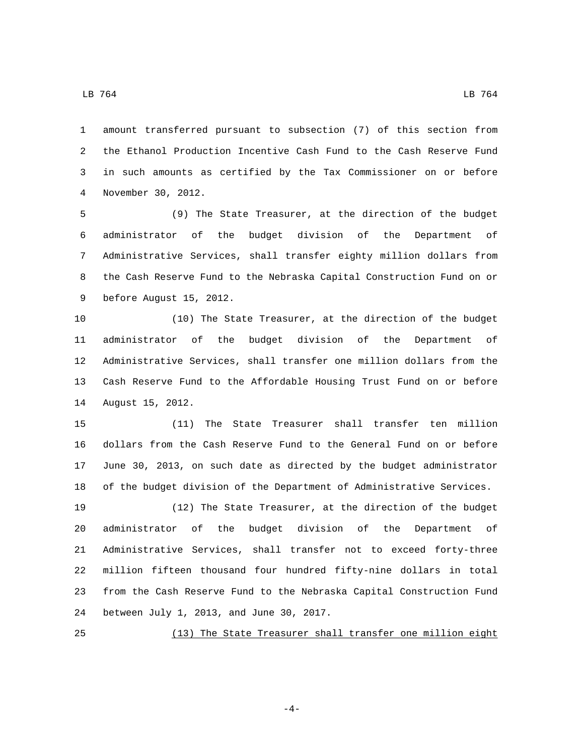$\,$  LB  $\,$  764  $\,$  LB  $\,$  764  $\,$  LB  $\,$  764  $\,$  LB  $\,$  764  $\,$ 

 amount transferred pursuant to subsection (7) of this section from the Ethanol Production Incentive Cash Fund to the Cash Reserve Fund in such amounts as certified by the Tax Commissioner on or before November 30, 2012.4

 (9) The State Treasurer, at the direction of the budget administrator of the budget division of the Department of Administrative Services, shall transfer eighty million dollars from the Cash Reserve Fund to the Nebraska Capital Construction Fund on or 9 before August 15, 2012.

 (10) The State Treasurer, at the direction of the budget administrator of the budget division of the Department of Administrative Services, shall transfer one million dollars from the Cash Reserve Fund to the Affordable Housing Trust Fund on or before 14 August 15, 2012.

 (11) The State Treasurer shall transfer ten million dollars from the Cash Reserve Fund to the General Fund on or before June 30, 2013, on such date as directed by the budget administrator of the budget division of the Department of Administrative Services.

 (12) The State Treasurer, at the direction of the budget administrator of the budget division of the Department of Administrative Services, shall transfer not to exceed forty-three million fifteen thousand four hundred fifty-nine dollars in total from the Cash Reserve Fund to the Nebraska Capital Construction Fund 24 between July 1, 2013, and June 30, 2017.

(13) The State Treasurer shall transfer one million eight

-4-